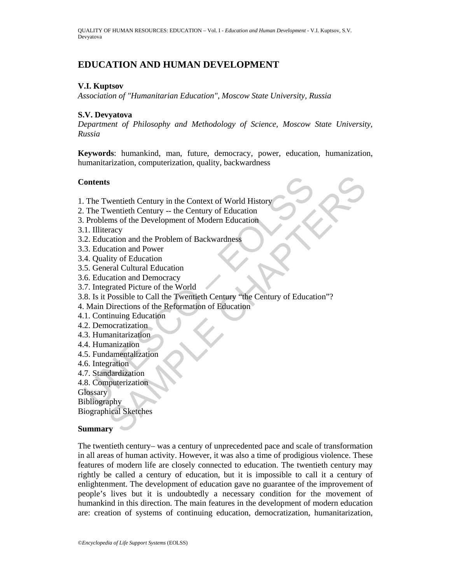# **EDUCATION AND HUMAN DEVELOPMENT**

#### **V.I. Kuptsov**

*Association of "Humanitarian Education", Moscow State University, Russia* 

#### **S.V. Devyatova**

*Department of Philosophy and Methodology of Science, Moscow State University, Russia* 

**Keywords**: humankind, man, future, democracy, power, education, humanization, humanitarization, computerization, quality, backwardness

#### **Contents**

- 1. The Twentieth Century in the Context of World History
- 2. The Twentieth Century -- the Century of Education
- 3. Problems of the Development of Modern Education
- 3.1. Illiteracy
- 3.2. Education and the Problem of Backwardness
- 3.3. Education and Power
- 3.4. Quality of Education
- 3.5. General Cultural Education
- 3.6. Education and Democracy
- 3.7. Integrated Picture of the World
- Fortents<br>
1. The Twentieth Century in the Context of World History<br>
1. The Twentieth Century -- the Century of Education<br>
1. Illiteracy<br>
1. Illiteracy<br>
2. Education and Peroblem of Backwardness<br>
2. Education and Power<br>
4. s<br>
swentieth Century in the Context of World History<br>
wentieth Century -- the Century of Education<br>
ms of the Development of Modern Education<br>
rarey<br>
ration and Power<br>
lity of Education<br>
ration and Power<br>
ration and Power<br> 3.8. Is it Possible to Call the Twentieth Century "the Century of Education"?
- 4. Main Directions of the Reformation of Education
- 4.1. Continuing Education
- 4.2. Democratization
- 4.3. Humanitarization
- 4.4. Humanization
- 4.5. Fundamentalization
- 4.6. Integration
- 4.7. Standardization
- 4.8. Computerization
- **Glossary**
- Bibliography

Biographical Sketches

#### **Summary**

The twentieth century– was a century of unprecedented pace and scale of transformation in all areas of human activity. However, it was also a time of prodigious violence. These features of modern life are closely connected to education. The twentieth century may rightly be called a century of education, but it is impossible to call it a century of enlightenment. The development of education gave no guarantee of the improvement of people's lives but it is undoubtedly a necessary condition for the movement of humankind in this direction. The main features in the development of modern education are: creation of systems of continuing education, democratization, humanitarization,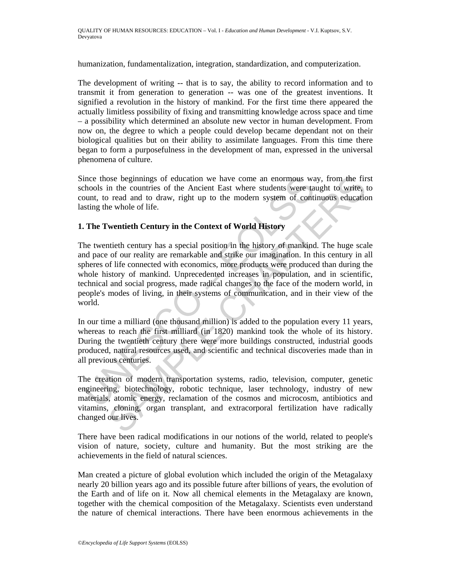humanization, fundamentalization, integration, standardization, and computerization.

The development of writing -- that is to say, the ability to record information and to transmit it from generation to generation -- was one of the greatest inventions. It signified a revolution in the history of mankind. For the first time there appeared the actually limitless possibility of fixing and transmitting knowledge across space and time – a possibility which determined an absolute new vector in human development. From now on, the degree to which a people could develop became dependant not on their biological qualities but on their ability to assimilate languages. From this time there began to form a purposefulness in the development of man, expressed in the universal phenomena of culture.

Since those beginnings of education we have come an enormous way, from the first schools in the countries of the Ancient East where students were taught to write, to count, to read and to draw, right up to the modern system of continuous education lasting the whole of life.

#### **1. The Twentieth Century in the Context of World History**

ince those beginnings of education we have come an enormous wathools in the countries of the Ancient East where students were ta<br>suunt, to read and to draw, right up to the modern system of contisting the whole of life.<br>Th beginnings of education we have come an enormous way, from the firm<br>the the countries of the Ancient East where students were taught to write, the red online of the Ancient East where students were taught to write, the red The twentieth century has a special position in the history of mankind. The huge scale and pace of our reality are remarkable and strike our imagination. In this century in all spheres of life connected with economics, more products were produced than during the whole history of mankind. Unprecedented increases in population, and in scientific, technical and social progress, made radical changes to the face of the modern world, in people's modes of living, in their systems of communication, and in their view of the world.

In our time a milliard (one thousand million) is added to the population every 11 years, whereas to reach the first milliard (in 1820) mankind took the whole of its history. During the twentieth century there were more buildings constructed, industrial goods produced, natural resources used, and scientific and technical discoveries made than in all previous centuries.

The creation of modern transportation systems, radio, television, computer, genetic engineering, biotechnology, robotic technique, laser technology, industry of new materials, atomic energy, reclamation of the cosmos and microcosm, antibiotics and vitamins, cloning, organ transplant, and extracorporal fertilization have radically changed our lives.

There have been radical modifications in our notions of the world, related to people's vision of nature, society, culture and humanity. But the most striking are the achievements in the field of natural sciences.

Man created a picture of global evolution which included the origin of the Metagalaxy nearly 20 billion years ago and its possible future after billions of years, the evolution of the Earth and of life on it. Now all chemical elements in the Metagalaxy are known, together with the chemical composition of the Metagalaxy. Scientists even understand the nature of chemical interactions. There have been enormous achievements in the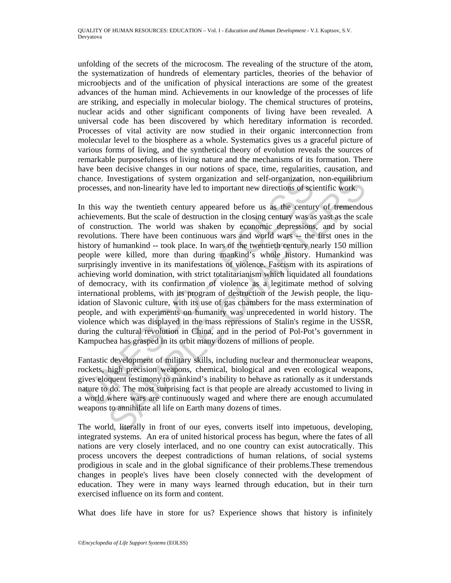unfolding of the secrets of the microcosm. The revealing of the structure of the atom, the systematization of hundreds of elementary particles, theories of the behavior of microobjects and of the unification of physical interactions are some of the greatest advances of the human mind. Achievements in our knowledge of the processes of life are striking, and especially in molecular biology. The chemical structures of proteins, nuclear acids and other significant components of living have been revealed. A universal code has been discovered by which hereditary information is recorded. Processes of vital activity are now studied in their organic interconnection from molecular level to the biosphere as a whole. Systematics gives us a graceful picture of various forms of living, and the synthetical theory of evolution reveals the sources of remarkable purposefulness of living nature and the mechanisms of its formation. There have been decisive changes in our notions of space, time, regularities, causation, and chance. Investigations of system organization and self-organization, non-equilibrium processes, and non-linearity have led to important new directions of scientific work.

nance. Investigations of system organization and self-organization, rocesses, and non-linearity have led to important new directions of sci<br>
1 this way the twentieth century appeared before us as the centur<br>
chievements. B Investigations of system organization and self-organization, non-equilibrium, sand non-linearity have led to important new directions of scientific work.<br>
way the twentieth century appeared before us as the century of trem In this way the twentieth century appeared before us as the century of tremendous achievements. But the scale of destruction in the closing century was as vast as the scale of construction. The world was shaken by economic depressions, and by social revolutions. There have been continuous wars and world wars -- the first ones in the history of humankind -- took place. In wars of the twentieth century nearly 150 million people were killed, more than during mankind's whole history. Humankind was surprisingly inventive in its manifestations of violence. Fascism with its aspirations of achieving world domination, with strict totalitarianism which liquidated all foundations of democracy, with its confirmation of violence as a legitimate method of solving international problems, with its program of destruction of the Jewish people, the liquidation of Slavonic culture, with its use of gas chambers for the mass extermination of people, and with experiments on humanity was unprecedented in world history. The violence which was displayed in the mass repressions of Stalin's regime in the USSR, during the cultural revolution in China, and in the period of Pol-Pot's government in Kampuchea has grasped in its orbit many dozens of millions of people.

Fantastic development of military skills, including nuclear and thermonuclear weapons, rockets, high precision weapons, chemical, biological and even ecological weapons, gives eloquent testimony to mankind's inability to behave as rationally as it understands nature to do. The most surprising fact is that people are already accustomed to living in a world where wars are continuously waged and where there are enough accumulated weapons to annihilate all life on Earth many dozens of times.

The world, literally in front of our eyes, converts itself into impetuous, developing, integrated systems. An era of united historical process has begun, where the fates of all nations are very closely interlaced, and no one country can exist autocratically. This process uncovers the deepest contradictions of human relations, of social systems prodigious in scale and in the global significance of their problems.These tremendous changes in people's lives have been closely connected with the development of education. They were in many ways learned through education, but in their turn exercised influence on its form and content.

What does life have in store for us? Experience shows that history is infinitely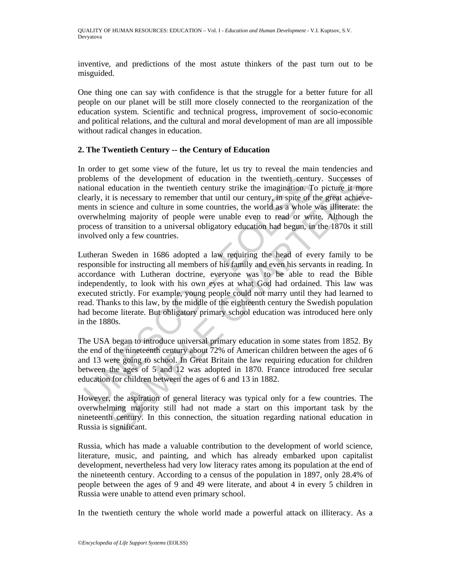inventive, and predictions of the most astute thinkers of the past turn out to be misguided.

One thing one can say with confidence is that the struggle for a better future for all people on our planet will be still more closely connected to the reorganization of the education system. Scientific and technical progress, improvement of socio-economic and political relations, and the cultural and moral development of man are all impossible without radical changes in education.

#### **2. The Twentieth Century -- the Century of Education**

In order to get some view of the future, let us try to reveal the main tendencies and problems of the development of education in the twentieth century. Successes of national education in the twentieth century strike the imagination. To picture it more clearly, it is necessary to remember that until our century, in spite of the great achievements in science and culture in some countries, the world as a whole was illiterate: the overwhelming majority of people were unable even to read or write. Although the process of transition to a universal obligatory education had begun, in the 1870s it still involved only a few countries.

roblems of the development of education in the twentieth centure<br>trational education in the twentieth century strike the imagination. To<br>early, it is necessary to remember that until our century, in spite of<br>tensts in scie s of the development of education in the twentichh century. Successes education in the twentich century stince the imagination. To picture it more into secience and culture in some countries, the world as a whole was illit Lutheran Sweden in 1686 adopted a law requiring the head of every family to be responsible for instructing all members of his family and even his servants in reading. In accordance with Lutheran doctrine, everyone was to be able to read the Bible independently, to look with his own eyes at what God had ordained. This law was executed strictly. For example, young people could not marry until they had learned to read. Thanks to this law, by the middle of the eighteenth century the Swedish population had become literate. But obligatory primary school education was introduced here only in the 1880s.

The USA began to introduce universal primary education in some states from 1852. By the end of the nineteenth century about 72% of American children between the ages of 6 and 13 were going to school. In Great Britain the law requiring education for children between the ages of 5 and 12 was adopted in 1870. France introduced free secular education for children between the ages of 6 and 13 in 1882.

However, the aspiration of general literacy was typical only for a few countries. The overwhelming majority still had not made a start on this important task by the nineteenth century. In this connection, the situation regarding national education in Russia is significant.

Russia, which has made a valuable contribution to the development of world science, literature, music, and painting, and which has already embarked upon capitalist development, nevertheless had very low literacy rates among its population at the end of the nineteenth century. According to a census of the population in 1897, only 28.4% of people between the ages of 9 and 49 were literate, and about 4 in every 5 children in Russia were unable to attend even primary school.

In the twentieth century the whole world made a powerful attack on illiteracy. As a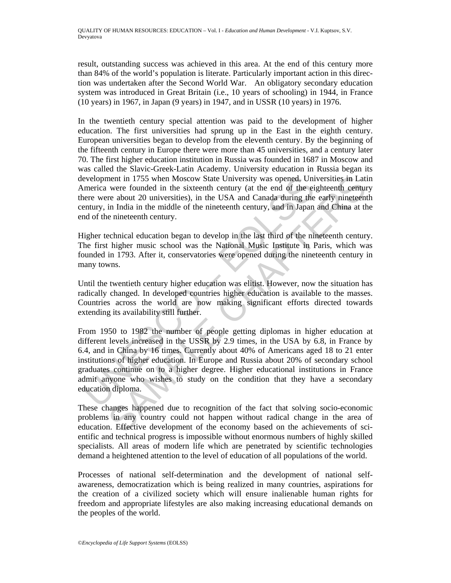result, outstanding success was achieved in this area. At the end of this century more than 84% of the world's population is literate. Particularly important action in this direction was undertaken after the Second World War. An obligatory secondary education system was introduced in Great Britain (i.e., 10 years of schooling) in 1944, in France (10 years) in 1967, in Japan (9 years) in 1947, and in USSR (10 years) in 1976.

In the twentieth century special attention was paid to the development of higher education. The first universities had sprung up in the East in the eighth century. European universities began to develop from the eleventh century. By the beginning of the fifteenth century in Europe there were more than 45 universities, and a century later 70. The first higher education institution in Russia was founded in 1687 in Moscow and was called the Slavic-Greek-Latin Academy. University education in Russia began its development in 1755 when Moscow State University was opened. Universities in Latin America were founded in the sixteenth century (at the end of the eighteenth century there were about 20 universities), in the USA and Canada during the early nineteenth century, in India in the middle of the nineteenth century, and in Japan and China at the end of the nineteenth century.

Higher technical education began to develop in the last third of the nineteenth century. The first higher music school was the National Music Institute in Paris, which was founded in 1793. After it, conservatories were opened during the nineteenth century in many towns.

Until the twentieth century higher education was elitist. However, now the situation has radically changed. In developed countries higher education is available to the masses. Countries across the world are now making significant efforts directed towards extending its availability still further.

evelopment in 1755 when Moscow State University was opened, University merica were founded in the sixteenth century (at the end of the eilence were about 20 universities), in the USA and Canada during the eilence were abou ment in 1755 when Moscow State University was opened, Universities in Lattive were founded in the sixtenth century (at the end of the eighteenth century and the red or the celubratic creation tentury. And in Japan and Chin From 1950 to 1982 the number of people getting diplomas in higher education at different levels increased in the USSR by 2.9 times, in the USA by 6.8, in France by 6.4, and in China by 16 times. Currently about 40% of Americans aged 18 to 21 enter institutions of higher education. In Europe and Russia about 20% of secondary school graduates continue on to a higher degree. Higher educational institutions in France admit anyone who wishes to study on the condition that they have a secondary education diploma.

These changes happened due to recognition of the fact that solving socio-economic problems in any country could not happen without radical change in the area of education. Effective development of the economy based on the achievements of scientific and technical progress is impossible without enormous numbers of highly skilled specialists. All areas of modern life which are penetrated by scientific technologies demand a heightened attention to the level of education of all populations of the world.

Processes of national self-determination and the development of national selfawareness, democratization which is being realized in many countries, aspirations for the creation of a civilized society which will ensure inalienable human rights for freedom and appropriate lifestyles are also making increasing educational demands on the peoples of the world.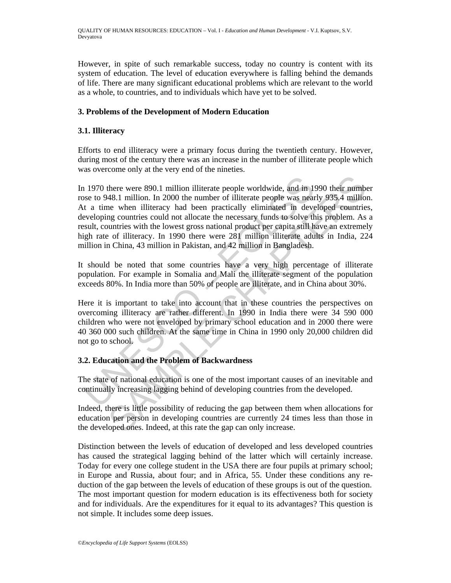However, in spite of such remarkable success, today no country is content with its system of education. The level of education everywhere is falling behind the demands of life. There are many significant educational problems which are relevant to the world as a whole, to countries, and to individuals which have yet to be solved.

## **3. Problems of the Development of Modern Education**

## **3.1. Illiteracy**

Efforts to end illiteracy were a primary focus during the twentieth century. However, during most of the century there was an increase in the number of illiterate people which was overcome only at the very end of the nineties.

1970 there were 890.1 million illiterate people worldwide, and in 1980 to 948.1 million. In 2000 the number of illiterate people was near t a time when illiteracy had been practically eliminated in deveveloping countries there were 890.1 million illiterate people worldwide, and in 1990 their numbes<br>48.1 million. In 2000 the number of illiterate people was nearly 935.4 million<br>ne when illiteracy had been practically eliminated in developed In 1970 there were 890.1 million illiterate people worldwide, and in 1990 their number rose to 948.1 million. In 2000 the number of illiterate people was nearly 935.4 million. At a time when illiteracy had been practically eliminated in developed countries, developing countries could not allocate the necessary funds to solve this problem. As a result, countries with the lowest gross national product per capita still have an extremely high rate of illiteracy. In 1990 there were 281 million illiterate adults in India, 224 million in China, 43 million in Pakistan, and 42 million in Bangladesh.

It should be noted that some countries have a very high percentage of illiterate population. For example in Somalia and Mali the illiterate segment of the population exceeds 80%. In India more than 50% of people are illiterate, and in China about 30%.

Here it is important to take into account that in these countries the perspectives on overcoming illiteracy are rather different. In 1990 in India there were 34 590 000 children who were not enveloped by primary school education and in 2000 there were 40 360 000 such children. At the same time in China in 1990 only 20,000 children did not go to school.

## **3.2. Education and the Problem of Backwardness**

The state of national education is one of the most important causes of an inevitable and continually increasing lagging behind of developing countries from the developed.

Indeed, there is little possibility of reducing the gap between them when allocations for education per person in developing countries are currently 24 times less than those in the developed ones. Indeed, at this rate the gap can only increase.

Distinction between the levels of education of developed and less developed countries has caused the strategical lagging behind of the latter which will certainly increase. Today for every one college student in the USA there are four pupils at primary school; in Europe and Russia, about four; and in Africa, 55. Under these conditions any reduction of the gap between the levels of education of these groups is out of the question. The most important question for modern education is its effectiveness both for society and for individuals. Are the expenditures for it equal to its advantages? This question is not simple. It includes some deep issues.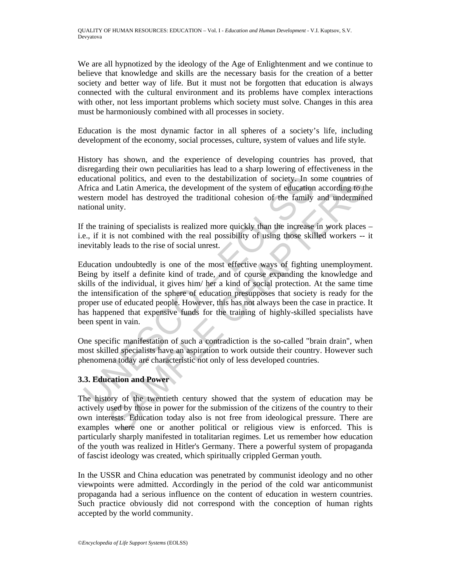We are all hypnotized by the ideology of the Age of Enlightenment and we continue to believe that knowledge and skills are the necessary basis for the creation of a better society and better way of life. But it must not be forgotten that education is always connected with the cultural environment and its problems have complex interactions with other, not less important problems which society must solve. Changes in this area must be harmoniously combined with all processes in society.

Education is the most dynamic factor in all spheres of a society's life, including development of the economy, social processes, culture, system of values and life style.

History has shown, and the experience of developing countries has proved, that disregarding their own peculiarities has lead to a sharp lowering of effectiveness in the educational politics, and even to the destabilization of society. In some countries of Africa and Latin America, the development of the system of education according to the western model has destroyed the traditional cohesion of the family and undermined national unity.

If the training of specialists is realized more quickly than the increase in work places – i.e., if it is not combined with the real possibility of using those skilled workers -- it inevitably leads to the rise of social unrest.

ducational politics, and even to the destabilization of society. In so<br>thrica and Latin America, the development of the system of education<br>estern model has destroyed the traditional cohesion of the family<br>estern model has and politics, and even to the destabilization of society. In some countries to all datin America, the development of the system of education according to the model has destroyed the traditional cohesion of the family and u Education undoubtedly is one of the most effective ways of fighting unemployment. Being by itself a definite kind of trade, and of course expanding the knowledge and skills of the individual, it gives him/ her a kind of social protection. At the same time the intensification of the sphere of education presupposes that society is ready for the proper use of educated people. However, this has not always been the case in practice. It has happened that expensive funds for the training of highly-skilled specialists have been spent in vain.

One specific manifestation of such a contradiction is the so-called "brain drain", when most skilled specialists have an aspiration to work outside their country. However such phenomena today are characteristic not only of less developed countries.

## **3.3. Education and Power**

The history of the twentieth century showed that the system of education may be actively used by those in power for the submission of the citizens of the country to their own interests. Education today also is not free from ideological pressure. There are examples where one or another political or religious view is enforced. This is particularly sharply manifested in totalitarian regimes. Let us remember how education of the youth was realized in Hitler's Germany. There a powerful system of propaganda of fascist ideology was created, which spiritually crippled German youth.

In the USSR and China education was penetrated by communist ideology and no other viewpoints were admitted. Accordingly in the period of the cold war anticommunist propaganda had a serious influence on the content of education in western countries. Such practice obviously did not correspond with the conception of human rights accepted by the world community.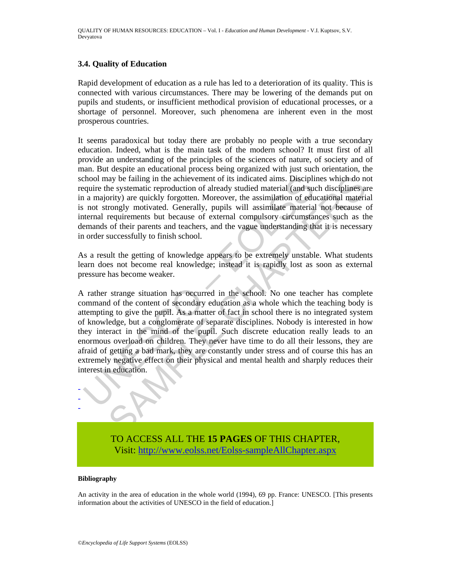#### **3.4. Quality of Education**

Rapid development of education as a rule has led to a deterioration of its quality. This is connected with various circumstances. There may be lowering of the demands put on pupils and students, or insufficient methodical provision of educational processes, or a shortage of personnel. Moreover, such phenomena are inherent even in the most prosperous countries.

It seems paradoxical but today there are probably no people with a true secondary education. Indeed, what is the main task of the modern school? It must first of all provide an understanding of the principles of the sciences of nature, of society and of man. But despite an educational process being organized with just such orientation, the school may be failing in the achievement of its indicated aims. Disciplines which do not require the systematic reproduction of already studied material (and such disciplines are in a majority) are quickly forgotten. Moreover, the assimilation of educational material is not strongly motivated. Generally, pupils will assimilate material not because of internal requirements but because of external compulsory circumstances such as the demands of their parents and teachers, and the vague understanding that it is necessary in order successfully to finish school.

As a result the getting of knowledge appears to be extremely unstable. What students learn does not become real knowledge; instead it is rapidly lost as soon as external pressure has become weaker.

chool may be failing in the achievement of its indicated aims. Discipliquire the systematic reproduction of already studied material (and sue a majority) are quickly forgotten. Moreover, the assimilation of education and a ay be failing in the achievement of its indicated aims. Disciplines which do not systematic reproduction of already studied material (and such disciplines are systemate reproduction of already studied materizongly motivate A rather strange situation has occurred in the school. No one teacher has complete command of the content of secondary education as a whole which the teaching body is attempting to give the pupil. As a matter of fact in school there is no integrated system of knowledge, but a conglomerate of separate disciplines. Nobody is interested in how they interact in the mind of the pupil. Such discrete education really leads to an enormous overload on children. They never have time to do all their lessons, they are afraid of getting a bad mark, they are constantly under stress and of course this has an extremely negative effect on their physical and mental health and sharply reduces their interest in education.

TO ACCESS ALL THE **15 PAGES** OF THIS CHAPTER, Visit[: http://www.eolss.net/Eolss-sampleAllChapter.aspx](https://www.eolss.net/ebooklib/sc_cart.aspx?File=E1-12-01-02)

#### **Bibliography**

- - -

An activity in the area of education in the whole world (1994), 69 pp. France: UNESCO. [This presents information about the activities of UNESCO in the field of education.]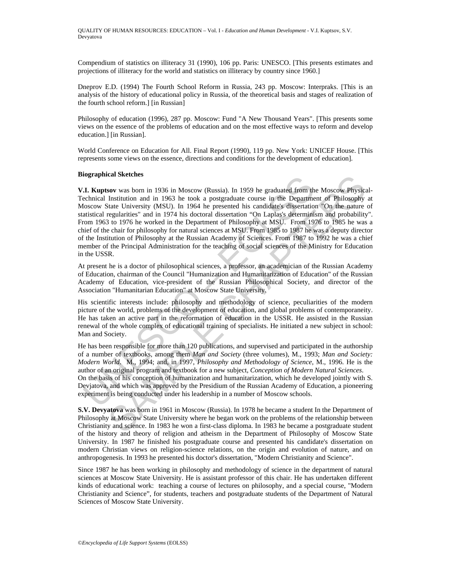Compendium of statistics on illiteracy 31 (1990), 106 pp. Paris: UNESCO. [This presents estimates and projections of illiteracy for the world and statistics on illiteracy by country since 1960.]

Dneprov E.D. (1994) The Fourth School Reform in Russia, 243 pp. Moscow: Interpraks. [This is an analysis of the history of educational policy in Russia, of the theoretical basis and stages of realization of the fourth school reform.] [in Russian]

Philosophy of education (1996), 287 pp. Moscow: Fund "A New Thousand Years". [This presents some views on the essence of the problems of education and on the most effective ways to reform and develop education.] [in Russian].

World Conference on Education for All. Final Report (1990), 119 pp. New York: UNICEF House. [This represents some views on the essence, directions and conditions for the development of education].

#### **Biographical Sketches**

**II. Kuptson** was boom in 1936 in Moscow (Russia). In 1959 he graduated from the<br>cherical Institution and in 1963 he took a postgraduate course in the Departmetol Institution and in 1963 he took a postgraduate course in t **East Soletteres**<br> **East Soletteres**<br> **East Soletteres**<br> **East Soletteres**<br> **East Soletteres**<br> **East Soletteres**<br> **East Institution and in 1963 he took a postgraduate course in the Department of Philosophy<br>
Institution an V.I. Kuptsov** was born in 1936 in Moscow (Russia). In 1959 he graduated from the Moscow Physical-Technical Institution and in 1963 he took a postgraduate course in the Department of Philosophy at Moscow State University (MSU). In 1964 he presented his candidate's dissertation "On the nature of statistical regularities" and in 1974 his doctoral dissertation "On Laplas's determinism and probability". From 1963 to 1976 he worked in the Department of Philosophy at MSU. From 1976 to 1985 he was a chief of the chair for philosophy for natural sciences at MSU. From 1985 to 1987 he was a deputy director of the Institution of Philosophy at the Russian Academy of Sciences. From 1987 to 1992 he was a chief member of the Principal Administration for the teaching of social sciences of the Ministry for Education in the USSR.

At present he is a doctor of philosophical sciences, a professor, an academician of the Russian Academy of Education, chairman of the Council "Humanization and Humanitarization of Education" of the Russian Academy of Education, vice-president of the Russian Philosophical Society, and director of the Association "Humanitarian Education" at Moscow State University.

His scientific interests include: philosophy and methodology of science, peculiarities of the modern picture of the world, problems of the development of education, and global problems of contemporaneity. He has taken an active part in the reformation of education in the USSR. He assisted in the Russian renewal of the whole complex of educational training of specialists. He initiated a new subject in school: Man and Society.

He has been responsible for more than 120 publications, and supervised and participated in the authorship of a number of textbooks, among them *Man and Society* (three volumes), M., 1993; *Man and Society: Modern World*. M., 1994; and, in 1997, *Philosophy and Methodology of Science*, M., 1996. He is the author of an original program and textbook for a new subject, *Conception of Modern Natural Sciences*. On the basis of his conception of humanization and humanitarization, which he developed jointly with S. Devjatova, and which was approved by the Presidium of the Russian Academy of Education, a pioneering experiment is being conducted under his leadership in a number of Moscow schools.

**S.V. Devyatova** was born in 1961 in Moscow (Russia). In 1978 he became a student In the Department of Philosophy at Moscow State University where he began work on the problems of the relationship between Christianity and science. In 1983 he won a first-class diploma. In 1983 he became a postgraduate student of the history and theory of religion and atheism in the Department of Philosophy of Moscow State University. In 1987 he finished his postgraduate course and presented his candidate's dissertation on modern Christian views on religion-science relations, on the origin and evolution of nature, and on anthropogenesis. In 1993 he presented his doctor's dissertation, "Modern Christianity and Science".

Since 1987 he has been working in philosophy and methodology of science in the department of natural sciences at Moscow State University. He is assistant professor of this chair. He has undertaken different kinds of educational work: teaching a course of lectures on philosophy, and a special course, "Modern Christianity and Science", for students, teachers and postgraduate students of the Department of Natural Sciences of Moscow State University.